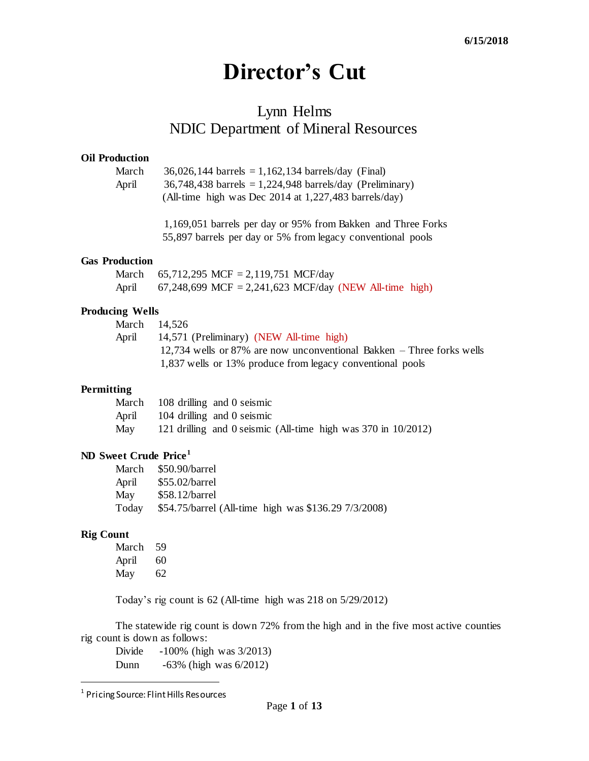# **Director's Cut**

## Lynn Helms NDIC Department of Mineral Resources

#### **Oil Production**

| March | $36,026,144$ barrels = 1,162,134 barrels/day (Final)       |
|-------|------------------------------------------------------------|
| April | $36,748,438$ barrels = 1,224,948 barrels/day (Preliminary) |
|       | (All-time high was Dec 2014 at $1,227,483$ barrels/day)    |

1,169,051 barrels per day or 95% from Bakken and Three Forks 55,897 barrels per day or 5% from legacy conventional pools

#### **Gas Production**

|       | March 65,712,295 MCF = 2,119,751 MCF/day               |
|-------|--------------------------------------------------------|
| April | 67,248,699 MCF = 2,241,623 MCF/day (NEW All-time high) |

#### **Producing Wells**

|       | March 14.526                                                            |
|-------|-------------------------------------------------------------------------|
| April | 14,571 (Preliminary) (NEW All-time high)                                |
|       | $12,734$ wells or 87% are now unconventional Bakken – Three forks wells |
|       | 1,837 wells or 13% produce from legacy conventional pools               |

#### **Permitting**

| March | 108 drilling and 0 seismic                                         |  |  |  |
|-------|--------------------------------------------------------------------|--|--|--|
| April | 104 drilling and 0 seismic                                         |  |  |  |
| May   | 121 drilling and 0 seismic (All-time high was $370$ in $10/2012$ ) |  |  |  |

### **ND Sweet Crude Price<sup>1</sup>**

| March | \$50.90/barrel                                       |
|-------|------------------------------------------------------|
| April | \$55.02/barrel                                       |
| May   | $$58.12/b$ arrel                                     |
| Today | \$54.75/barrel (All-time high was \$136.29 7/3/2008) |

#### **Rig Count**

l

| March | 59 |
|-------|----|
| April | 60 |
| May   | 62 |

Today's rig count is 62 (All-time high was 218 on 5/29/2012)

The statewide rig count is down 72% from the high and in the five most active counties rig count is down as follows:

Divide -100% (high was 3/2013) Dunn -63% (high was 6/2012)

<sup>&</sup>lt;sup>1</sup> Pricing Source: Flint Hills Resources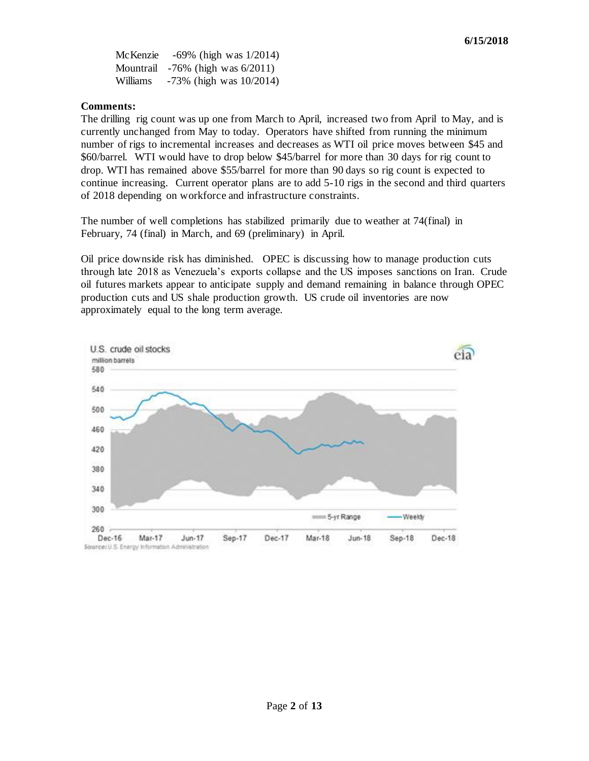McKenzie -69% (high was 1/2014) Mountrail -76% (high was 6/2011) Williams -73% (high was 10/2014)

#### **Comments:**

The drilling rig count was up one from March to April, increased two from April to May, and is currently unchanged from May to today. Operators have shifted from running the minimum number of rigs to incremental increases and decreases as WTI oil price moves between \$45 and \$60/barrel. WTI would have to drop below \$45/barrel for more than 30 days for rig count to drop. WTI has remained above \$55/barrel for more than 90 days so rig count is expected to continue increasing. Current operator plans are to add 5-10 rigs in the second and third quarters of 2018 depending on workforce and infrastructure constraints.

The number of well completions has stabilized primarily due to weather at 74(final) in February, 74 (final) in March, and 69 (preliminary) in April.

Oil price downside risk has diminished. OPEC is discussing how to manage production cuts through late 2018 as Venezuela's exports collapse and the US imposes sanctions on Iran. Crude oil futures markets appear to anticipate supply and demand remaining in balance through OPEC production cuts and US shale production growth. US crude oil inventories are now approximately equal to the long term average.

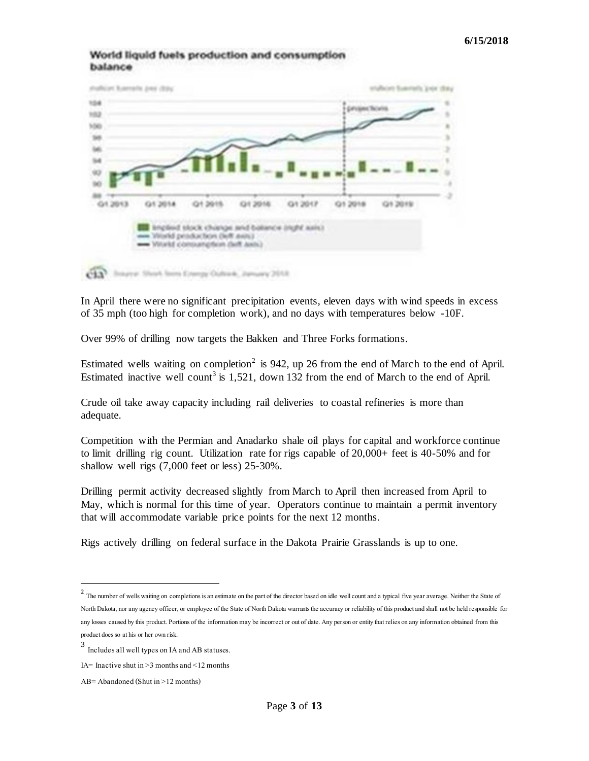#### World liquid fuels production and consumption balance



In April there were no significant precipitation events, eleven days with wind speeds in excess of 35 mph (too high for completion work), and no days with temperatures below -10F.

Over 99% of drilling now targets the Bakken and Three Forks formations.

Estimated wells waiting on completion<sup>2</sup> is 942, up 26 from the end of March to the end of April. Estimated inactive well count<sup>3</sup> is  $1,521$ , down 132 from the end of March to the end of April.

Crude oil take away capacity including rail deliveries to coastal refineries is more than adequate.

Competition with the Permian and Anadarko shale oil plays for capital and workforce continue to limit drilling rig count. Utilization rate for rigs capable of 20,000+ feet is 40-50% and for shallow well rigs (7,000 feet or less) 25-30%.

Drilling permit activity decreased slightly from March to April then increased from April to May, which is normal for this time of year. Operators continue to maintain a permit inventory that will accommodate variable price points for the next 12 months.

Rigs actively drilling on federal surface in the Dakota Prairie Grasslands is up to one.

l

<sup>&</sup>lt;sup>2</sup> The number of wells waiting on completions is an estimate on the part of the director based on idle well count and a typical five year average. Neither the State of North Dakota, nor any agency officer, or employee of the State of North Dakota warrants the accuracy or reliability of this product and shall not be held responsible for any losses caused by this product. Portions of the information may be incorrect or out of date. Any person or entity that relies on any information obtained from this product does so at his or her own risk.

<sup>3</sup> Includes all well types on IA and AB statuses.

IA= Inactive shut in  $>3$  months and  $\leq 12$  months

AB= Abandoned (Shut in >12 months)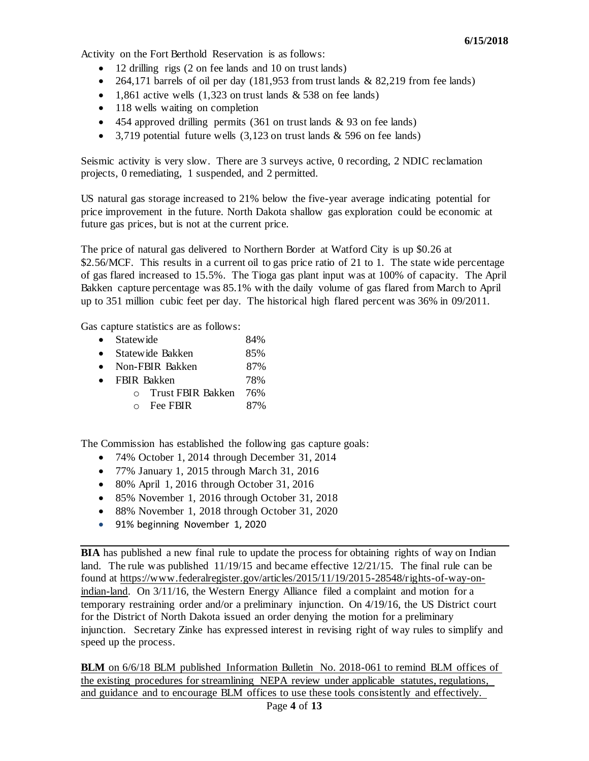Activity on the Fort Berthold Reservation is as follows:

- 12 drilling rigs (2 on fee lands and 10 on trust lands)
- $\bullet$  264,171 barrels of oil per day (181,953 from trust lands & 82,219 from fee lands)
- 1,861 active wells  $(1,323$  on trust lands & 538 on fee lands)
- 118 wells waiting on completion
- $\bullet$  454 approved drilling permits (361 on trust lands & 93 on fee lands)
- 3,719 potential future wells  $(3,123$  on trust lands  $\&$  596 on fee lands)

Seismic activity is very slow. There are 3 surveys active, 0 recording, 2 NDIC reclamation projects, 0 remediating, 1 suspended, and 2 permitted.

US natural gas storage increased to 21% below the five-year average indicating potential for price improvement in the future. North Dakota shallow gas exploration could be economic at future gas prices, but is not at the current price.

The price of natural gas delivered to Northern Border at Watford City is up \$0.26 at \$2.56/MCF. This results in a current oil to gas price ratio of 21 to 1. The state wide percentage of gas flared increased to 15.5%. The Tioga gas plant input was at 100% of capacity. The April Bakken capture percentage was 85.1% with the daily volume of gas flared from March to April up to 351 million cubic feet per day. The historical high flared percent was 36% in 09/2011.

Gas capture statistics are as follows:

- Statewide 84%
- Statewide Bakken 85%
- Non-FBIR Bakken 87%
- FBIR Bakken 78%
	- o Trust FBIR Bakken 76%
		- $\circ$  Fee FBIR 87%

The Commission has established the following gas capture goals:

- 74% October 1, 2014 through December 31, 2014
- 77% January 1, 2015 through March 31, 2016
- 80% April 1, 2016 through October 31, 2016
- 85% November 1, 2016 through October 31, 2018
- 88% November 1, 2018 through October 31, 2020
- 91% beginning November 1, 2020

**BIA** has published a new final rule to update the process for obtaining rights of way on Indian land. The rule was published 11/19/15 and became effective 12/21/15. The final rule can be found at [https://www.federalregister.gov/articles/2015/11/19/2015-28548/rights-of-way-on](https://www.federalregister.gov/articles/2015/11/19/2015-28548/rights-of-way-on-indian-land)[indian-land.](https://www.federalregister.gov/articles/2015/11/19/2015-28548/rights-of-way-on-indian-land) On 3/11/16, the Western Energy Alliance filed a complaint and motion for a temporary restraining order and/or a preliminary injunction. On 4/19/16, the US District court for the District of North Dakota issued an order denying the motion for a preliminary injunction. Secretary Zinke has expressed interest in revising right of way rules to simplify and speed up the process.

**BLM** on 6/6/18 BLM published Information Bulletin No. 2018-061 to remind BLM offices of the existing procedures for streamlining NEPA review under applicable statutes, regulations, and guidance and to encourage BLM offices to use these tools consistently and effectively.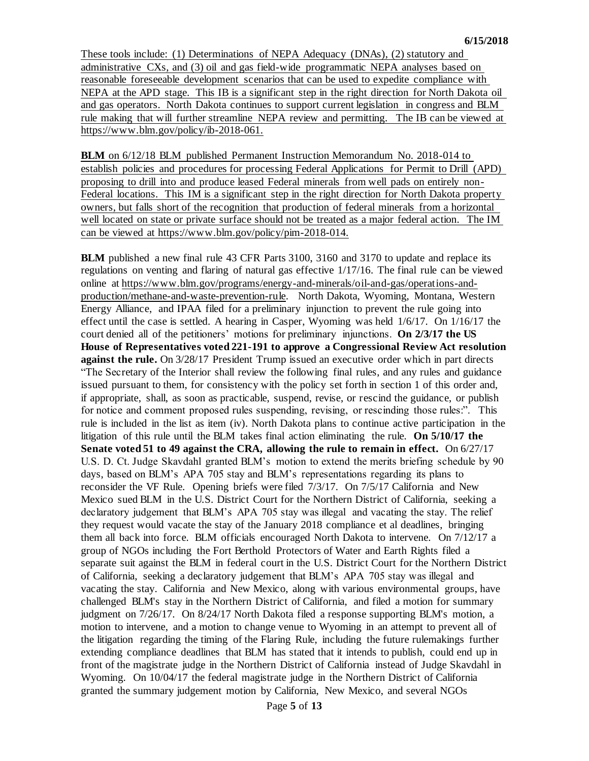These tools include: (1) Determinations of NEPA Adequacy (DNAs), (2) statutory and administrative CXs, and (3) oil and gas field-wide programmatic NEPA analyses based on reasonable foreseeable development scenarios that can be used to expedite compliance with NEPA at the APD stage. This IB is a significant step in the right direction for North Dakota oil and gas operators. North Dakota continues to support current legislation in congress and BLM rule making that will further streamline NEPA review and permitting. The IB can be viewed at [https://www.blm.gov/policy/ib-2018-061.](https://www.blm.gov/policy/ib-2018-061)

**BLM** on 6/12/18 BLM published Permanent Instruction Memorandum No. 2018-014 to establish policies and procedures for processing Federal Applications for Permit to Drill (APD) proposing to drill into and produce leased Federal minerals from well pads on entirely non-Federal locations. This IM is a significant step in the right direction for North Dakota property owners, but falls short of the recognition that production of federal minerals from a horizontal well located on state or private surface should not be treated as a major federal action. The IM can be viewed at [https://www.blm.gov/policy/pim-2018-014.](https://www.blm.gov/policy/pim-2018-014)

**BLM** published a new final rule 43 CFR Parts 3100, 3160 and 3170 to update and replace its regulations on venting and flaring of natural gas effective 1/17/16. The final rule can be viewed online at [https://www.blm.gov/programs/energy-and-minerals/oil-and-gas/operations-and](https://www.blm.gov/programs/energy-and-minerals/oil-and-gas/operations-and-production/methane-and-waste-prevention-rule)[production/methane-and-waste-prevention-rule.](https://www.blm.gov/programs/energy-and-minerals/oil-and-gas/operations-and-production/methane-and-waste-prevention-rule) North Dakota, Wyoming, Montana, Western Energy Alliance, and IPAA filed for a preliminary injunction to prevent the rule going into effect until the case is settled. A hearing in Casper, Wyoming was held 1/6/17. On 1/16/17 the court denied all of the petitioners' motions for preliminary injunctions. **On 2/3/17 the US House of Representatives voted 221-191 to approve a Congressional Review Act resolution against the rule.** On 3/28/17 President Trump issued an executive order which in part directs "The Secretary of the Interior shall review the following final rules, and any rules and guidance issued pursuant to them, for consistency with the policy set forth in section 1 of this order and, if appropriate, shall, as soon as practicable, suspend, revise, or rescind the guidance, or publish for notice and comment proposed rules suspending, revising, or rescinding those rules.". This rule is included in the list as item (iv). North Dakota plans to continue active participation in the litigation of this rule until the BLM takes final action eliminating the rule. **On 5/10/17 the Senate voted 51 to 49 against the CRA, allowing the rule to remain in effect.** On 6/27/17 U.S. D. Ct. Judge Skavdahl granted BLM's motion to extend the merits briefing schedule by 90 days, based on BLM's APA 705 stay and BLM's representations regarding its plans to reconsider the VF Rule. Opening briefs were filed 7/3/17. On 7/5/17 California and New Mexico sued BLM in the U.S. District Court for the Northern District of California, seeking a declaratory judgement that BLM's APA 705 stay was illegal and vacating the stay. The relief they request would vacate the stay of the January 2018 compliance et al deadlines, bringing them all back into force. BLM officials encouraged North Dakota to intervene. On 7/12/17 a group of NGOs including the Fort Berthold Protectors of Water and Earth Rights filed a separate suit against the BLM in federal court in the U.S. District Court for the Northern District of California, seeking a declaratory judgement that BLM's APA 705 stay was illegal and vacating the stay. California and New Mexico, along with various environmental groups, have challenged BLM's stay in the Northern District of California, and filed a motion for summary judgment on 7/26/17. On 8/24/17 North Dakota filed a response supporting BLM's motion, a motion to intervene, and a motion to change venue to Wyoming in an attempt to prevent all of the litigation regarding the timing of the Flaring Rule, including the future rulemakings further extending compliance deadlines that BLM has stated that it intends to publish, could end up in front of the magistrate judge in the Northern District of California instead of Judge Skavdahl in Wyoming. On 10/04/17 the federal magistrate judge in the Northern District of California granted the summary judgement motion by California, New Mexico, and several NGOs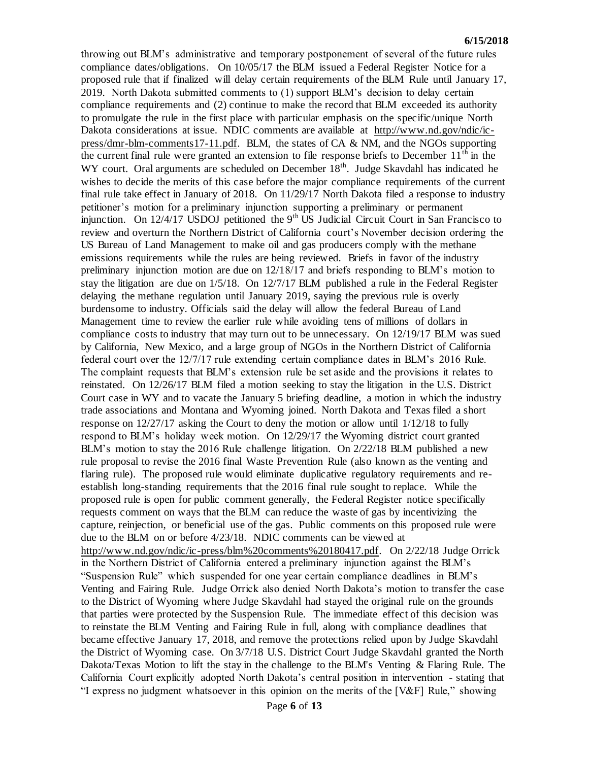throwing out BLM's administrative and temporary postponement of several of the future rules compliance dates/obligations. On 10/05/17 the BLM issued a Federal Register Notice for a proposed rule that if finalized will delay certain requirements of the BLM Rule until January 17, 2019. North Dakota submitted comments to (1) support BLM's decision to delay certain compliance requirements and (2) continue to make the record that BLM exceeded its authority to promulgate the rule in the first place with particular emphasis on the specific/unique North Dakota considerations at issue. NDIC comments are available at  $\frac{http://www.nd.gov/ndic/ic-}{http://www.nd.gov/ndic/ic-}$ [press/dmr-blm-comments17-11.pdf.](http://www.nd.gov/ndic/ic-press/dmr-blm-comments17-11.pdf) BLM, the states of CA & NM, and the NGOs supporting the current final rule were granted an extension to file response briefs to December  $11<sup>th</sup>$  in the WY court. Oral arguments are scheduled on December 18<sup>th</sup>. Judge Skavdahl has indicated he wishes to decide the merits of this case before the major compliance requirements of the current final rule take effect in January of 2018. On 11/29/17 North Dakota filed a response to industry petitioner's motion for a preliminary injunction supporting a preliminary or permanent injunction. On  $12/4/17$  USDOJ petitioned the 9<sup>th</sup> US Judicial Circuit Court in San Francisco to review and overturn the Northern District of California court's November decision ordering the US Bureau of Land Management to make oil and gas producers comply with the methane emissions requirements while the rules are being reviewed. Briefs in favor of the industry preliminary injunction motion are due on 12/18/17 and briefs responding to BLM's motion to stay the litigation are due on 1/5/18. On 12/7/17 BLM published a rule in the Federal Register delaying the methane regulation until January 2019, saying the previous rule is overly burdensome to industry. Officials said the delay will allow the federal Bureau of Land Management time to review the earlier rule while avoiding tens of millions of dollars in compliance costs to industry that may turn out to be unnecessary. On 12/19/17 BLM was sued by California, New Mexico, and a large group of NGOs in the Northern District of California federal court over the 12/7/17 rule extending certain compliance dates in BLM's 2016 Rule. The complaint requests that BLM's extension rule be set aside and the provisions it relates to reinstated. On 12/26/17 BLM filed a motion seeking to stay the litigation in the U.S. District Court case in WY and to vacate the January 5 briefing deadline, a motion in which the industry trade associations and Montana and Wyoming joined. North Dakota and Texas filed a short response on 12/27/17 asking the Court to deny the motion or allow until 1/12/18 to fully respond to BLM's holiday week motion. On 12/29/17 the Wyoming district court granted BLM's motion to stay the 2016 Rule challenge litigation. On 2/22/18 BLM published a new rule proposal to revise the 2016 final Waste Prevention Rule (also known as the venting and flaring rule). The proposed rule would eliminate duplicative regulatory requirements and reestablish long-standing requirements that the 2016 final rule sought to replace. While the proposed rule is open for public comment generally, the Federal Register notice specifically requests comment on ways that the BLM can reduce the waste of gas by incentivizing the capture, reinjection, or beneficial use of the gas. Public comments on this proposed rule were due to the BLM on or before 4/23/18. NDIC comments can be viewed at [http://www.nd.gov/ndic/ic-press/blm%20comments%20180417.pdf.](http://www.nd.gov/ndic/ic-press/blm%20comments%20180417.pdf) On 2/22/18 Judge Orrick in the Northern District of California entered a preliminary injunction against the BLM's "Suspension Rule" which suspended for one year certain compliance deadlines in BLM's Venting and Fairing Rule. Judge Orrick also denied North Dakota's motion to transfer the case to the District of Wyoming where Judge Skavdahl had stayed the original rule on the grounds that parties were protected by the Suspension Rule. The immediate effect of this decision was to reinstate the BLM Venting and Fairing Rule in full, along with compliance deadlines that became effective January 17, 2018, and remove the protections relied upon by Judge Skavdahl the District of Wyoming case. On 3/7/18 U.S. District Court Judge Skavdahl granted the North Dakota/Texas Motion to lift the stay in the challenge to the BLM's Venting & Flaring Rule. The California Court explicitly adopted North Dakota's central position in intervention - stating that "I express no judgment whatsoever in this opinion on the merits of the [V&F] Rule," showing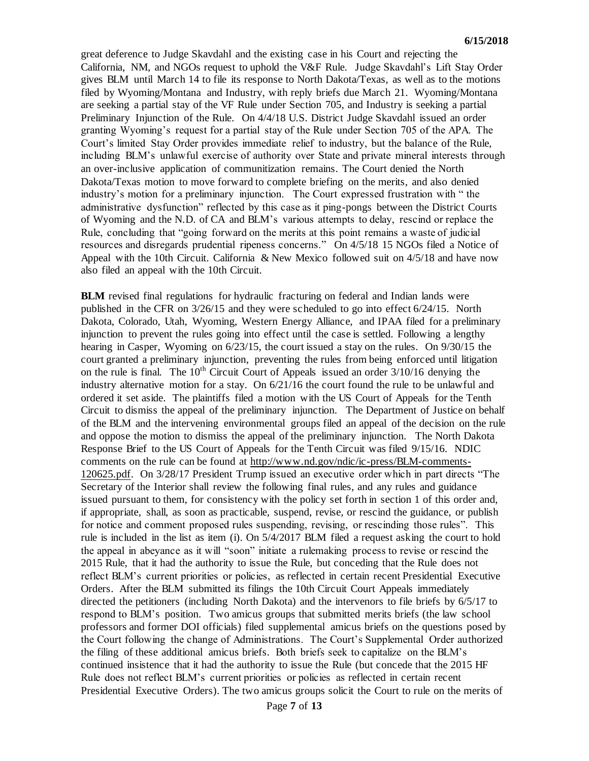great deference to Judge Skavdahl and the existing case in his Court and rejecting the California, NM, and NGOs request to uphold the V&F Rule. Judge Skavdahl's Lift Stay Order gives BLM until March 14 to file its response to North Dakota/Texas, as well as to the motions filed by Wyoming/Montana and Industry, with reply briefs due March 21. Wyoming/Montana are seeking a partial stay of the VF Rule under Section 705, and Industry is seeking a partial Preliminary Injunction of the Rule. On 4/4/18 U.S. District Judge Skavdahl issued an order granting Wyoming's request for a partial stay of the Rule under Section 705 of the APA. The Court's limited Stay Order provides immediate relief to industry, but the balance of the Rule, including BLM's unlawful exercise of authority over State and private mineral interests through an over-inclusive application of communitization remains. The Court denied the North Dakota/Texas motion to move forward to complete briefing on the merits, and also denied industry's motion for a preliminary injunction. The Court expressed frustration with " the administrative dysfunction" reflected by this case as it ping-pongs between the District Courts of Wyoming and the N.D. of CA and BLM's various attempts to delay, rescind or replace the Rule, concluding that "going forward on the merits at this point remains a waste of judicial resources and disregards prudential ripeness concerns." On 4/5/18 15 NGOs filed a Notice of Appeal with the 10th Circuit. California & New Mexico followed suit on 4/5/18 and have now also filed an appeal with the 10th Circuit.

**BLM** revised final regulations for hydraulic fracturing on federal and Indian lands were published in the CFR on 3/26/15 and they were scheduled to go into effect 6/24/15. North Dakota, Colorado, Utah, Wyoming, Western Energy Alliance, and IPAA filed for a preliminary injunction to prevent the rules going into effect until the case is settled. Following a lengthy hearing in Casper, Wyoming on 6/23/15, the court issued a stay on the rules. On 9/30/15 the court granted a preliminary injunction, preventing the rules from being enforced until litigation on the rule is final. The  $10<sup>th</sup>$  Circuit Court of Appeals issued an order  $3/10/16$  denying the industry alternative motion for a stay. On 6/21/16 the court found the rule to be unlawful and ordered it set aside. The plaintiffs filed a motion with the US Court of Appeals for the Tenth Circuit to dismiss the appeal of the preliminary injunction. The Department of Justice on behalf of the BLM and the intervening environmental groups filed an appeal of the decision on the rule and oppose the motion to dismiss the appeal of the preliminary injunction. The North Dakota Response Brief to the US Court of Appeals for the Tenth Circuit was filed 9/15/16. NDIC comments on the rule can be found at [http://www.nd.gov/ndic/ic-press/BLM-comments-](http://www.nd.gov/ndic/ic-press/BLM-comments-120625.pdf)[120625.pdf.](http://www.nd.gov/ndic/ic-press/BLM-comments-120625.pdf) On 3/28/17 President Trump issued an executive order which in part directs "The Secretary of the Interior shall review the following final rules, and any rules and guidance issued pursuant to them, for consistency with the policy set forth in section 1 of this order and, if appropriate, shall, as soon as practicable, suspend, revise, or rescind the guidance, or publish for notice and comment proposed rules suspending, revising, or rescinding those rules". This rule is included in the list as item (i). On 5/4/2017 BLM filed a request asking the court to hold the appeal in abeyance as it will "soon" initiate a rulemaking process to revise or rescind the 2015 Rule, that it had the authority to issue the Rule, but conceding that the Rule does not reflect BLM's current priorities or policies, as reflected in certain recent Presidential Executive Orders. After the BLM submitted its filings the 10th Circuit Court Appeals immediately directed the petitioners (including North Dakota) and the intervenors to file briefs by 6/5/17 to respond to BLM's position. Two amicus groups that submitted merits briefs (the law school professors and former DOI officials) filed supplemental amicus briefs on the questions posed by the Court following the change of Administrations. The Court's Supplemental Order authorized the filing of these additional amicus briefs. Both briefs seek to capitalize on the BLM's continued insistence that it had the authority to issue the Rule (but concede that the 2015 HF Rule does not reflect BLM's current priorities or policies as reflected in certain recent Presidential Executive Orders). The two amicus groups solicit the Court to rule on the merits of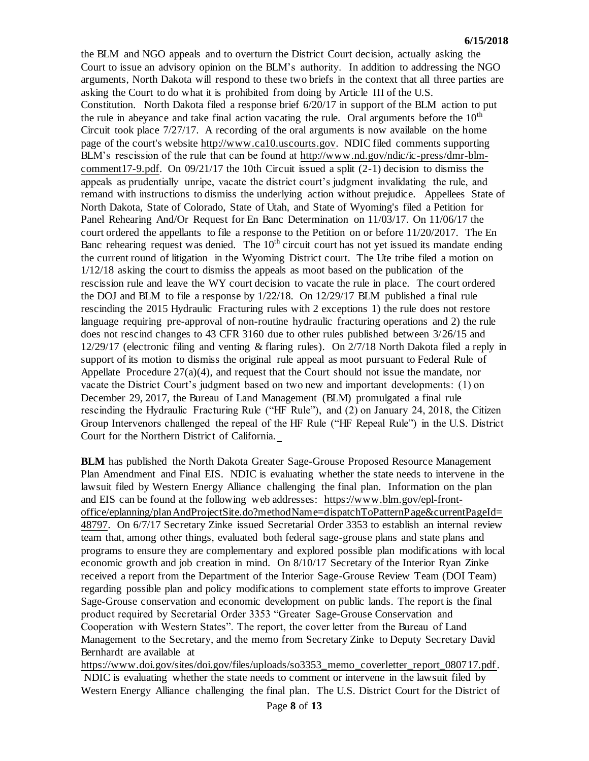the BLM and NGO appeals and to overturn the District Court decision, actually asking the Court to issue an advisory opinion on the BLM's authority. In addition to addressing the NGO arguments, North Dakota will respond to these two briefs in the context that all three parties are asking the Court to do what it is prohibited from doing by Article III of the U.S. Constitution. North Dakota filed a response brief 6/20/17 in support of the BLM action to put the rule in abeyance and take final action vacating the rule. Oral arguments before the  $10<sup>th</sup>$ Circuit took place  $7/27/17$ . A recording of the oral arguments is now available on the home page of the court's website [http://www.ca10.uscourts.gov.](https://urldefense.proofpoint.com/v2/url?u=http-3A__www.ca10.uscourts.gov&d=DwMGaQ&c=2s2mvbfY0UoSKkl6_Ol9wg&r=-wqsZnBxny594KY8HeElow&m=Ul_VtJUX6iW5pvHjCcBxUWtskC0F4Dhry3sPtcEHvCw&s=laRHiLDv5w8otcQWQjpn82WMieoB2AZ-Q4M1LFQPL5s&e=) NDIC filed comments supporting BLM's rescission of the rule that can be found at [http://www.nd.gov/ndic/ic-press/dmr-blm](http://www.nd.gov/ndic/ic-press/dmr-blm-comment17-9.pdf)[comment17-9.pdf.](http://www.nd.gov/ndic/ic-press/dmr-blm-comment17-9.pdf) On 09/21/17 the 10th Circuit issued a split (2-1) decision to dismiss the appeals as prudentially unripe, vacate the district court's judgment invalidating the rule, and remand with instructions to dismiss the underlying action without prejudice. Appellees State of North Dakota, State of Colorado, State of Utah, and State of Wyoming's filed a Petition for Panel Rehearing And/Or Request for En Banc Determination on 11/03/17. On 11/06/17 the court ordered the appellants to file a response to the Petition on or before 11/20/2017. The En Banc rehearing request was denied. The  $10<sup>th</sup>$  circuit court has not yet issued its mandate ending the current round of litigation in the Wyoming District court. The Ute tribe filed a motion on 1/12/18 asking the court to dismiss the appeals as moot based on the publication of the rescission rule and leave the WY court decision to vacate the rule in place. The court ordered the DOJ and BLM to file a response by 1/22/18. On 12/29/17 BLM published a final rule rescinding the 2015 Hydraulic Fracturing rules with 2 exceptions 1) the rule does not restore language requiring pre-approval of non-routine hydraulic fracturing operations and 2) the rule does not rescind changes to 43 CFR 3160 due to other rules published between 3/26/15 and 12/29/17 (electronic filing and venting & flaring rules). On 2/7/18 North Dakota filed a reply in support of its motion to dismiss the original rule appeal as moot pursuant to Federal Rule of Appellate Procedure 27(a)(4), and request that the Court should not issue the mandate, nor vacate the District Court's judgment based on two new and important developments: (1) on December 29, 2017, the Bureau of Land Management (BLM) promulgated a final rule rescinding the Hydraulic Fracturing Rule ("HF Rule"), and (2) on January 24, 2018, the Citizen Group Intervenors challenged the repeal of the HF Rule ("HF Repeal Rule") in the U.S. District Court for the Northern District of California.

**BLM** has published the North Dakota Greater Sage-Grouse Proposed Resource Management Plan Amendment and Final EIS. NDIC is evaluating whether the state needs to intervene in the lawsuit filed by Western Energy Alliance challenging the final plan. Information on the plan and EIS can be found at the following web addresses: [https://www.blm.gov/epl-front](https://www.blm.gov/epl-front-office/eplanning/planAndProjectSite.do?methodName=dispatchToPatternPage¤tPageId=48797)[office/eplanning/planAndProjectSite.do?methodName=dispatchToPatternPage&currentPageId=](https://www.blm.gov/epl-front-office/eplanning/planAndProjectSite.do?methodName=dispatchToPatternPage¤tPageId=48797) [48797.](https://www.blm.gov/epl-front-office/eplanning/planAndProjectSite.do?methodName=dispatchToPatternPage¤tPageId=48797) On 6/7/17 Secretary Zinke issued Secretarial Order 3353 to establish an internal review team that, among other things, evaluated both federal sage-grouse plans and state plans and programs to ensure they are complementary and explored possible plan modifications with local economic growth and job creation in mind. On 8/10/17 Secretary of the Interior Ryan Zinke received a report from the Department of the Interior Sage-Grouse Review Team (DOI Team) regarding possible plan and policy modifications to complement state efforts to improve Greater Sage-Grouse conservation and economic development on public lands. The report is the final product required by Secretarial Order 3353 "Greater Sage-Grouse Conservation and Cooperation with Western States". The report, the cover letter from the Bureau of Land Management to the Secretary, and the memo from Secretary Zinke to Deputy Secretary David Bernhardt are available at

[https://www.doi.gov/sites/doi.gov/files/uploads/so3353\\_memo\\_coverletter\\_report\\_080717.pdf.](https://www.doi.gov/sites/doi.gov/files/uploads/so3353_memo_coverletter_report_080717.pdf) NDIC is evaluating whether the state needs to comment or intervene in the lawsuit filed by Western Energy Alliance challenging the final plan. The U.S. District Court for the District of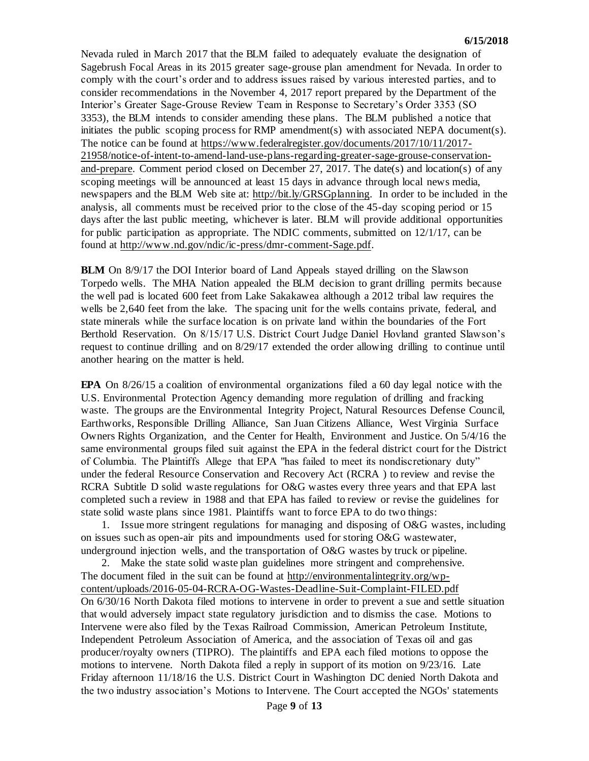Nevada ruled in March 2017 that the BLM failed to adequately evaluate the designation of Sagebrush Focal Areas in its 2015 greater sage-grouse plan amendment for Nevada. In order to comply with the court's order and to address issues raised by various interested parties, and to consider recommendations in the November 4, 2017 report prepared by the Department of the Interior's Greater Sage-Grouse Review Team in Response to Secretary's Order 3353 (SO 3353), the BLM intends to consider amending these plans. The BLM published a notice that initiates the public scoping process for RMP amendment(s) with associated NEPA document(s). The notice can be found at [https://www.federalregister.gov/documents/2017/10/11/2017-](https://www.federalregister.gov/documents/2017/10/11/2017-21958/notice-of-intent-to-amend-land-use-plans-regarding-greater-sage-grouse-conservation-and-prepare) [21958/notice-of-intent-to-amend-land-use-plans-regarding-greater-sage-grouse-conservation](https://www.federalregister.gov/documents/2017/10/11/2017-21958/notice-of-intent-to-amend-land-use-plans-regarding-greater-sage-grouse-conservation-and-prepare)[and-prepare.](https://www.federalregister.gov/documents/2017/10/11/2017-21958/notice-of-intent-to-amend-land-use-plans-regarding-greater-sage-grouse-conservation-and-prepare) Comment period closed on December 27, 2017. The date(s) and location(s) of any scoping meetings will be announced at least 15 days in advance through local news media, newspapers and the BLM Web site at: [http://bit.ly/GRSGplanning.](http://bit.ly/​GRSGplanning) In order to be included in the analysis, all comments must be received prior to the close of the 45-day scoping period or 15 days after the last public meeting, whichever is later. BLM will provide additional opportunities for public participation as appropriate. The NDIC comments, submitted on 12/1/17, can be found at [http://www.nd.gov/ndic/ic-press/dmr-comment-Sage.pdf.](http://www.nd.gov/ndic/ic-press/dmr-comment-Sage.pdf)

**BLM** On 8/9/17 the DOI Interior board of Land Appeals stayed drilling on the Slawson Torpedo wells. The MHA Nation appealed the BLM decision to grant drilling permits because the well pad is located 600 feet from Lake Sakakawea although a 2012 tribal law requires the wells be 2,640 feet from the lake. The spacing unit for the wells contains private, federal, and state minerals while the surface location is on private land within the boundaries of the Fort Berthold Reservation. On 8/15/17 U.S. District Court Judge Daniel Hovland granted Slawson's request to continue drilling and on 8/29/17 extended the order allowing drilling to continue until another hearing on the matter is held.

**EPA** On 8/26/15 a coalition of environmental organizations filed a 60 day legal notice with the U.S. Environmental Protection Agency demanding more regulation of drilling and fracking waste. The groups are the Environmental Integrity Project, Natural Resources Defense Council, Earthworks, Responsible Drilling Alliance, San Juan Citizens Alliance, West Virginia Surface Owners Rights Organization, and the Center for Health, Environment and Justice. On 5/4/16 the same environmental groups filed suit against the EPA in the federal district court for the District of Columbia. The Plaintiffs Allege that EPA "has failed to meet its nondiscretionary duty" under the federal Resource Conservation and Recovery Act (RCRA ) to review and revise the RCRA Subtitle D solid waste regulations for O&G wastes every three years and that EPA last completed such a review in 1988 and that EPA has failed to review or revise the guidelines for state solid waste plans since 1981. Plaintiffs want to force EPA to do two things:

1. Issue more stringent regulations for managing and disposing of O&G wastes, including on issues such as open-air pits and impoundments used for storing O&G wastewater, underground injection wells, and the transportation of O&G wastes by truck or pipeline.

2. Make the state solid waste plan guidelines more stringent and comprehensive. The document filed in the suit can be found at [http://environmentalintegrity.org/wp](http://environmentalintegrity.org/wp-content/uploads/2016-05-04-RCRA-OG-Wastes-Deadline-Suit-Complaint-FILED.pdf)[content/uploads/2016-05-04-RCRA-OG-Wastes-Deadline-Suit-Complaint-FILED.pdf](http://environmentalintegrity.org/wp-content/uploads/2016-05-04-RCRA-OG-Wastes-Deadline-Suit-Complaint-FILED.pdf) On 6/30/16 North Dakota filed motions to intervene in order to prevent a sue and settle situation that would adversely impact state regulatory jurisdiction and to dismiss the case. Motions to Intervene were also filed by the Texas Railroad Commission, American Petroleum Institute, Independent Petroleum Association of America, and the association of Texas oil and gas producer/royalty owners (TIPRO). The plaintiffs and EPA each filed motions to oppose the motions to intervene. North Dakota filed a reply in support of its motion on 9/23/16. Late Friday afternoon 11/18/16 the U.S. District Court in Washington DC denied North Dakota and the two industry association's Motions to Intervene. The Court accepted the NGOs' statements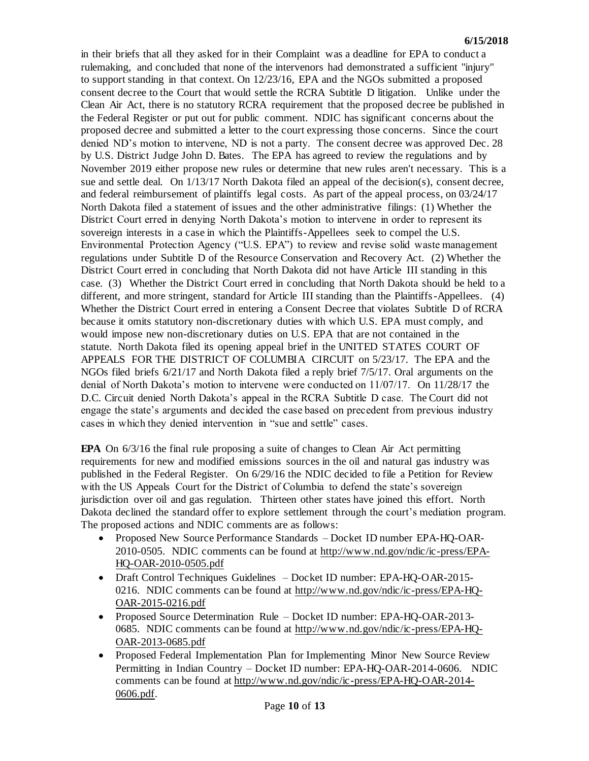in their briefs that all they asked for in their Complaint was a deadline for EPA to conduct a rulemaking, and concluded that none of the intervenors had demonstrated a sufficient "injury" to support standing in that context. On 12/23/16, EPA and the NGOs submitted a proposed consent decree to the Court that would settle the RCRA Subtitle D litigation. Unlike under the Clean Air Act, there is no statutory RCRA requirement that the proposed decree be published in the Federal Register or put out for public comment. NDIC has significant concerns about the proposed decree and submitted a letter to the court expressing those concerns. Since the court denied ND's motion to intervene, ND is not a party. The consent decree was approved Dec. 28 by U.S. District Judge John D. Bates. The EPA has agreed to review the regulations and by November 2019 either propose new rules or determine that new rules aren't necessary. This is a sue and settle deal. On  $1/13/17$  North Dakota filed an appeal of the decision(s), consent decree, and federal reimbursement of plaintiffs legal costs. As part of the appeal process, on 03/24/17 North Dakota filed a statement of issues and the other administrative filings: (1) Whether the District Court erred in denying North Dakota's motion to intervene in order to represent its sovereign interests in a case in which the Plaintiffs-Appellees seek to compel the U.S. Environmental Protection Agency ("U.S. EPA") to review and revise solid waste management regulations under Subtitle D of the Resource Conservation and Recovery Act. (2) Whether the District Court erred in concluding that North Dakota did not have Article III standing in this case. (3) Whether the District Court erred in concluding that North Dakota should be held to a different, and more stringent, standard for Article III standing than the Plaintiffs-Appellees. (4) Whether the District Court erred in entering a Consent Decree that violates Subtitle D of RCRA because it omits statutory non-discretionary duties with which U.S. EPA must comply, and would impose new non-discretionary duties on U.S. EPA that are not contained in the statute. North Dakota filed its opening appeal brief in the UNITED STATES COURT OF APPEALS FOR THE DISTRICT OF COLUMBIA CIRCUIT on 5/23/17. The EPA and the NGOs filed briefs 6/21/17 and North Dakota filed a reply brief 7/5/17. Oral arguments on the denial of North Dakota's motion to intervene were conducted on 11/07/17. On 11/28/17 the D.C. Circuit denied North Dakota's appeal in the RCRA Subtitle D case. The Court did not engage the state's arguments and decided the case based on precedent from previous industry cases in which they denied intervention in "sue and settle" cases.

**EPA** On 6/3/16 the final rule proposing a suite of changes to Clean Air Act permitting requirements for new and modified emissions sources in the oil and natural gas industry was published in the Federal Register. On 6/29/16 the NDIC decided to file a Petition for Review with the US Appeals Court for the District of Columbia to defend the state's sovereign jurisdiction over oil and gas regulation. Thirteen other states have joined this effort. North Dakota declined the standard offer to explore settlement through the court's mediation program. The proposed actions and NDIC comments are as follows:

- Proposed New Source Performance Standards Docket ID number EPA-HQ-OAR-2010-0505. NDIC comments can be found at [http://www.nd.gov/ndic/ic-press/EPA-](http://www.nd.gov/ndic/ic-press/EPA-HQ-OAR-2010-0505.pdf)[HQ-OAR-2010-0505.pdf](http://www.nd.gov/ndic/ic-press/EPA-HQ-OAR-2010-0505.pdf)
- Draft Control Techniques Guidelines Docket ID number: EPA-HQ-OAR-2015- 0216. NDIC comments can be found at [http://www.nd.gov/ndic/ic-press/EPA-HQ-](http://www.nd.gov/ndic/ic-press/EPA-HQ-OAR-2015-0216.pdf)[OAR-2015-0216.pdf](http://www.nd.gov/ndic/ic-press/EPA-HQ-OAR-2015-0216.pdf)
- Proposed Source Determination Rule Docket ID number: EPA-HQ-OAR-2013-0685. NDIC comments can be found at [http://www.nd.gov/ndic/ic-press/EPA-HQ-](http://www.nd.gov/ndic/ic-press/EPA-HQ-OAR-2013-0685.pdf)[OAR-2013-0685.pdf](http://www.nd.gov/ndic/ic-press/EPA-HQ-OAR-2013-0685.pdf)
- Proposed Federal Implementation Plan for Implementing Minor New Source Review Permitting in Indian Country – Docket ID number: EPA-HQ-OAR-2014-0606. NDIC comments can be found at [http://www.nd.gov/ndic/ic-press/EPA-HQ-OAR-2014-](http://www.nd.gov/ndic/ic-press/EPA-HQ-OAR-2014-0606.pdf) [0606.pdf.](http://www.nd.gov/ndic/ic-press/EPA-HQ-OAR-2014-0606.pdf)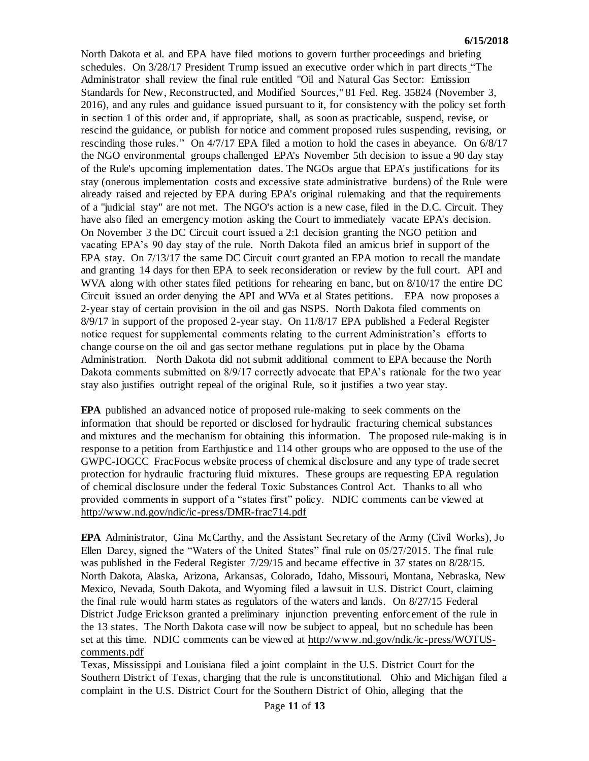North Dakota et al. and EPA have filed motions to govern further proceedings and briefing schedules. On 3/28/17 President Trump issued an executive order which in part directs "The Administrator shall review the final rule entitled "Oil and Natural Gas Sector: Emission Standards for New, Reconstructed, and Modified Sources," 81 Fed. Reg. 35824 (November 3, 2016), and any rules and guidance issued pursuant to it, for consistency with the policy set forth in section 1 of this order and, if appropriate, shall, as soon as practicable, suspend, revise, or rescind the guidance, or publish for notice and comment proposed rules suspending, revising, or rescinding those rules." On 4/7/17 EPA filed a motion to hold the cases in abeyance. On 6/8/17 the NGO environmental groups challenged EPA's November 5th decision to issue a 90 day stay of the Rule's upcoming implementation dates. The NGOs argue that EPA's justifications for its stay (onerous implementation costs and excessive state administrative burdens) of the Rule were already raised and rejected by EPA during EPA's original rulemaking and that the requirements of a "judicial stay" are not met. The NGO's action is a new case, filed in the D.C. Circuit. They have also filed an emergency motion asking the Court to immediately vacate EPA's decision. On November 3 the DC Circuit court issued a 2:1 decision granting the NGO petition and vacating EPA's 90 day stay of the rule. North Dakota filed an amicus brief in support of the EPA stay. On 7/13/17 the same DC Circuit court granted an EPA motion to recall the mandate and granting 14 days for then EPA to seek reconsideration or review by the full court. API and WVA along with other states filed petitions for rehearing en banc, but on  $8/10/17$  the entire DC Circuit issued an order denying the API and WVa et al States petitions. EPA now proposes a 2-year stay of certain provision in the oil and gas NSPS. North Dakota filed comments on 8/9/17 in support of the proposed 2-year stay. On 11/8/17 EPA published a Federal Register notice request for supplemental comments relating to the current Administration's efforts to change course on the oil and gas sector methane regulations put in place by the Obama Administration. North Dakota did not submit additional comment to EPA because the North Dakota comments submitted on 8/9/17 correctly advocate that EPA's rationale for the two year stay also justifies outright repeal of the original Rule, so it justifies a two year stay.

**EPA** published an advanced notice of proposed rule-making to seek comments on the information that should be reported or disclosed for hydraulic fracturing chemical substances and mixtures and the mechanism for obtaining this information. The proposed rule-making is in response to a petition from Earthjustice and 114 other groups who are opposed to the use of the GWPC-IOGCC FracFocus website process of chemical disclosure and any type of trade secret protection for hydraulic fracturing fluid mixtures. These groups are requesting EPA regulation of chemical disclosure under the federal Toxic Substances Control Act. Thanks to all who provided comments in support of a "states first" policy. NDIC comments can be viewed at <http://www.nd.gov/ndic/ic-press/DMR-frac714.pdf>

**EPA** Administrator, Gina McCarthy, and the Assistant Secretary of the Army (Civil Works), Jo Ellen Darcy, signed the "Waters of the United States" final rule on 05/27/2015. The final rule was published in the Federal Register  $7/29/15$  and became effective in 37 states on 8/28/15. North Dakota, Alaska, Arizona, Arkansas, Colorado, Idaho, Missouri, Montana, Nebraska, New Mexico, Nevada, South Dakota, and Wyoming filed a lawsuit in U.S. District Court, claiming the final rule would harm states as regulators of the waters and lands. On 8/27/15 Federal District Judge Erickson granted a preliminary injunction preventing enforcement of the rule in the 13 states. The North Dakota case will now be subject to appeal, but no schedule has been set at this time. NDIC comments can be viewed at [http://www.nd.gov/ndic/ic-press/WOTUS](http://www.nd.gov/ndic/ic-press/WOTUS-comments.pdf)[comments.pdf](http://www.nd.gov/ndic/ic-press/WOTUS-comments.pdf)

Texas, Mississippi and Louisiana filed a joint complaint in the U.S. District Court for the Southern District of Texas, charging that the rule is unconstitutional. Ohio and Michigan filed a complaint in the U.S. District Court for the Southern District of Ohio, alleging that the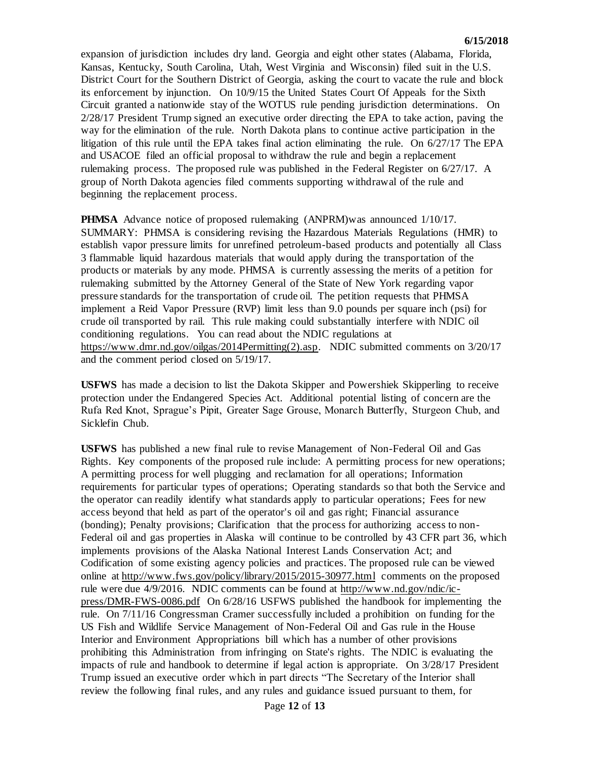expansion of jurisdiction includes dry land. Georgia and eight other states (Alabama, Florida, Kansas, Kentucky, South Carolina, Utah, West Virginia and Wisconsin) filed suit in the U.S. District Court for the Southern District of Georgia, asking the court to vacate the rule and block its enforcement by injunction. On 10/9/15 the United States Court Of Appeals for the Sixth Circuit granted a nationwide stay of the WOTUS rule pending jurisdiction determinations. On 2/28/17 President Trump signed an executive order directing the EPA to take action, paving the way for the elimination of the rule. North Dakota plans to continue active participation in the litigation of this rule until the EPA takes final action eliminating the rule. On 6/27/17 The EPA and USACOE filed an official proposal to withdraw the rule and begin a replacement rulemaking process. The proposed rule was published in the Federal Register on 6/27/17. A group of North Dakota agencies filed comments supporting withdrawal of the rule and beginning the replacement process.

**PHMSA** Advance notice of proposed rulemaking (ANPRM)was announced 1/10/17. SUMMARY: PHMSA is considering revising the Hazardous Materials Regulations (HMR) to establish vapor pressure limits for unrefined petroleum-based products and potentially all Class 3 flammable liquid hazardous materials that would apply during the transportation of the products or materials by any mode. PHMSA is currently assessing the merits of a petition for rulemaking submitted by the Attorney General of the State of New York regarding vapor pressure standards for the transportation of crude oil. The petition requests that PHMSA implement a Reid Vapor Pressure (RVP) limit less than 9.0 pounds per square inch (psi) for crude oil transported by rail. This rule making could substantially interfere with NDIC oil conditioning regulations. You can read about the NDIC regulations at [https://www.dmr.nd.gov/oilgas/2014Permitting\(2\).asp.](https://www.dmr.nd.gov/oilgas/2014Permitting(2).asp) NDIC submitted comments on 3/20/17 and the comment period closed on 5/19/17.

**USFWS** has made a decision to list the Dakota Skipper and Powershiek Skipperling to receive protection under the Endangered Species Act. Additional potential listing of concern are the Rufa Red Knot, Sprague's Pipit, Greater Sage Grouse, Monarch Butterfly, Sturgeon Chub, and Sicklefin Chub.

**USFWS** has published a new final rule to revise Management of Non-Federal Oil and Gas Rights. Key components of the proposed rule include: A permitting process for new operations; A permitting process for well plugging and reclamation for all operations; Information requirements for particular types of operations; Operating standards so that both the Service and the operator can readily identify what standards apply to particular operations; Fees for new access beyond that held as part of the operator's oil and gas right; Financial assurance (bonding); Penalty provisions; Clarification that the process for authorizing access to non-Federal oil and gas properties in Alaska will continue to be controlled by 43 CFR part 36, which implements provisions of the Alaska National Interest Lands Conservation Act; and Codification of some existing agency policies and practices. The proposed rule can be viewed online at<http://www.fws.gov/policy/library/2015/2015-30977.html> comments on the proposed rule were due 4/9/2016. NDIC comments can be found at [http://www.nd.gov/ndic/ic](http://www.nd.gov/ndic/ic-press/DMR-FWS-0086.pdf)[press/DMR-FWS-0086.pdf](http://www.nd.gov/ndic/ic-press/DMR-FWS-0086.pdf) On 6/28/16 USFWS published the handbook for implementing the rule. On 7/11/16 Congressman Cramer successfully included a prohibition on funding for the US Fish and Wildlife Service Management of Non-Federal Oil and Gas rule in the House Interior and Environment Appropriations bill which has a number of other provisions prohibiting this Administration from infringing on State's rights. The NDIC is evaluating the impacts of rule and handbook to determine if legal action is appropriate. On 3/28/17 President Trump issued an executive order which in part directs "The Secretary of the Interior shall review the following final rules, and any rules and guidance issued pursuant to them, for